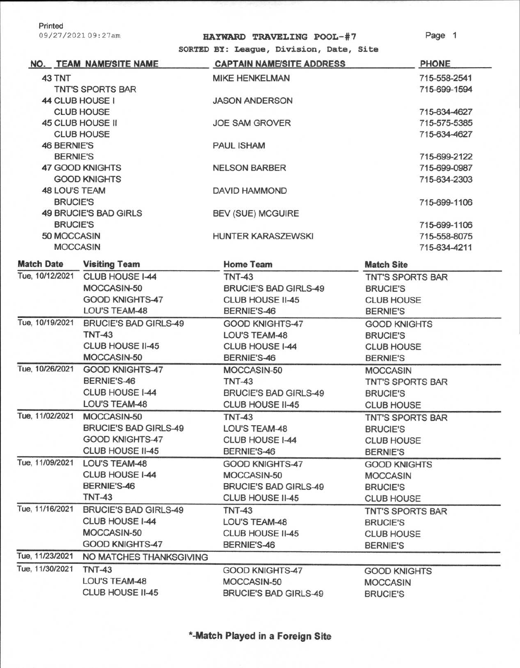Printed

09/27/202109:27am

## **HAYWARD TRAVELING POOL- # 7**

Page 1

**SORTED BY: League, Division, Date, Site** 

|                      | NO. TEAM NAME/SITE NAME      | <b>CAPTAIN NAME/SITE ADDRESS</b> | <b>PHONE</b>            |
|----------------------|------------------------------|----------------------------------|-------------------------|
| 43 TNT               |                              | <b>MIKE HENKELMAN</b>            | 715-558-2541            |
|                      | TNT'S SPORTS BAR             |                                  | 715-699-1594            |
|                      | 44 CLUB HOUSE I              | <b>JASON ANDERSON</b>            |                         |
| <b>CLUB HOUSE</b>    |                              |                                  | 715-634-4627            |
| 45 CLUB HOUSE II     |                              | <b>JOE SAM GROVER</b>            | 715-575-5385            |
|                      | <b>CLUB HOUSE</b>            |                                  | 715-634-4627            |
| <b>46 BERNIE'S</b>   |                              | <b>PAUL ISHAM</b>                |                         |
| <b>BERNIE'S</b>      |                              |                                  | 715-699-2122            |
|                      | <b>47 GOOD KNIGHTS</b>       | <b>NELSON BARBER</b>             | 715-699-0987            |
|                      | <b>GOOD KNIGHTS</b>          |                                  | 715-634-2303            |
| <b>48 LOU'S TEAM</b> |                              | DAVID HAMMOND                    |                         |
| <b>BRUCIE'S</b>      |                              |                                  | 715-699-1106            |
|                      | 49 BRUCIE'S BAD GIRLS        | <b>BEV (SUE) MCGUIRE</b>         |                         |
| <b>BRUCIE'S</b>      |                              |                                  | 715-699-1106            |
| 50 MOCCASIN          |                              | HUNTER KARASZEWSKI               | 715-558-8075            |
|                      | <b>MOCCASIN</b>              |                                  | 715-634-4211            |
| <b>Match Date</b>    | <b>Visiting Team</b>         | <b>Home Team</b>                 | <b>Match Site</b>       |
| Tue, 10/12/2021      | CLUB HOUSE I-44              | <b>TNT-43</b>                    | <b>TNT'S SPORTS BAR</b> |
|                      | MOCCASIN-50                  | <b>BRUCIE'S BAD GIRLS-49</b>     | <b>BRUCIE'S</b>         |
|                      | GOOD KNIGHTS-47              | CLUB HOUSE II-45                 | <b>CLUB HOUSE</b>       |
|                      | <b>LOU'S TEAM-48</b>         | BERNIE'S-46                      | <b>BERNIE'S</b>         |
| Tue, 10/19/2021      | <b>BRUCIE'S BAD GIRLS-49</b> | GOOD KNIGHTS-47                  | <b>GOOD KNIGHTS</b>     |
|                      | <b>TNT-43</b>                | <b>LOU'S TEAM-48</b>             | <b>BRUCIE'S</b>         |
|                      | CLUB HOUSE II-45             | CLUB HOUSE I-44                  | <b>CLUB HOUSE</b>       |
|                      | MOCCASIN-50                  | BERNIE'S-46                      | <b>BERNIE'S</b>         |
| Tue, 10/26/2021      | <b>GOOD KNIGHTS-47</b>       | MOCCASIN-50                      | <b>MOCCASIN</b>         |
|                      | BERNIE'S-46                  | <b>TNT-43</b>                    | <b>TNT'S SPORTS BAR</b> |
|                      | CLUB HOUSE I-44              | <b>BRUCIE'S BAD GIRLS-49</b>     | <b>BRUCIE'S</b>         |
|                      | LOU'S TEAM-48                | CLUB HOUSE II-45                 | <b>CLUB HOUSE</b>       |
| Tue, 11/02/2021      | MOCCASIN-50                  | <b>TNT-43</b>                    | <b>TNT'S SPORTS BAR</b> |
|                      | <b>BRUCIE'S BAD GIRLS-49</b> | LOU'S TEAM-48                    | <b>BRUCIE'S</b>         |
|                      | GOOD KNIGHTS-47              | CLUB HOUSE 1-44                  | <b>CLUB HOUSE</b>       |
|                      | CLUB HOUSE II-45             | BERNIE'S-46                      | <b>BERNIE'S</b>         |
| Tue, 11/09/2021      | LOU'S TEAM-48                | GOOD KNIGHTS-47                  | <b>GOOD KNIGHTS</b>     |
|                      | CLUB HOUSE I-44              | MOCCASIN-50                      | <b>MOCCASIN</b>         |
|                      | BERNIE'S-46                  | <b>BRUCIE'S BAD GIRLS-49</b>     | <b>BRUCIE'S</b>         |
|                      | <b>TNT-43</b>                | CLUB HOUSE II-45                 | <b>CLUB HOUSE</b>       |
| Tue, 11/16/2021      | <b>BRUCIE'S BAD GIRLS-49</b> | <b>TNT-43</b>                    | <b>TNT'S SPORTS BAR</b> |
|                      | CLUB HOUSE 1-44              | LOU'S TEAM-48                    | <b>BRUCIE'S</b>         |
|                      | MOCCASIN-50                  | CLUB HOUSE II-45                 | <b>CLUB HOUSE</b>       |
|                      | GOOD KNIGHTS-47              | BERNIE'S-46                      | <b>BERNIE'S</b>         |
| Tue, 11/23/2021      | NO MATCHES THANKSGIVING      |                                  |                         |
| Tue, 11/30/2021      | <b>TNT-43</b>                | GOOD KNIGHTS-47                  | <b>GOOD KNIGHTS</b>     |
|                      | LOU'S TEAM-48                | MOCCASIN-50                      | <b>MOCCASIN</b>         |
|                      | CLUB HOUSE II-45             | <b>BRUCIE'S BAD GIRLS-49</b>     | <b>BRUCIE'S</b>         |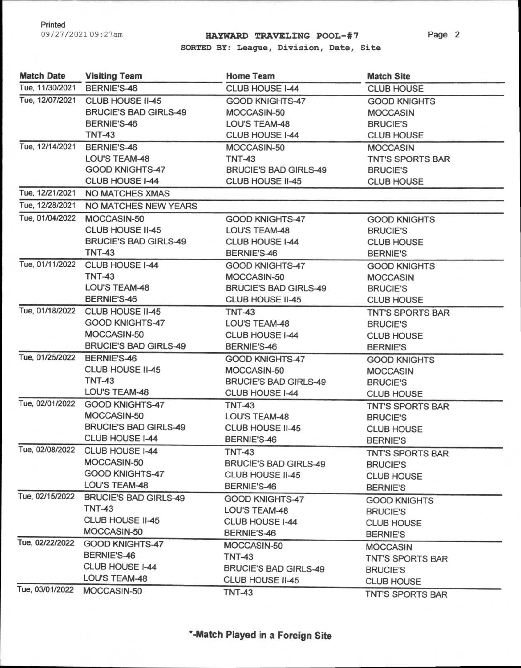## 09/27/202109:27am **HAYWARD TRAVELING POOL—#7**

Page 2

**SORTED BY: League, Division, Date, Site** 

| Tue, 11/30/2021<br>BERNIE'S-46<br>CLUB HOUSE I-44<br><b>CLUB HOUSE</b><br>Tue, 12/07/2021<br>CLUB HOUSE II-45<br><b>GOOD KNIGHTS-47</b><br><b>GOOD KNIGHTS</b><br><b>BRUCIE'S BAD GIRLS-49</b><br>MOCCASIN-50<br><b>MOCCASIN</b><br>BERNIE'S-46<br>LOU'S TEAM-48<br><b>BRUCIE'S</b><br><b>TNT-43</b><br>CLUB HOUSE I-44<br><b>CLUB HOUSE</b><br>Tue, 12/14/2021<br>BERNIE'S-46<br>MOCCASIN-50<br><b>MOCCASIN</b><br><b>LOU'S TEAM-48</b><br><b>TNT-43</b><br><b>TNT'S SPORTS BAR</b><br>GOOD KNIGHTS-47<br><b>BRUCIE'S BAD GIRLS-49</b><br><b>BRUCIE'S</b><br>CLUB HOUSE I-44<br>CLUB HOUSE II-45<br><b>CLUB HOUSE</b><br>Tue, 12/21/2021<br><b>NO MATCHES XMAS</b><br>Tue, 12/28/2021<br>NO MATCHES NEW YEARS<br>Tue, 01/04/2022<br>MOCCASIN-50<br>GOOD KNIGHTS-47<br><b>GOOD KNIGHTS</b><br>CLUB HOUSE II-45<br>LOU'S TEAM-48<br><b>BRUCIE'S</b><br><b>BRUCIE'S BAD GIRLS-49</b><br>CLUB HOUSE I-44<br><b>CLUB HOUSE</b><br><b>TNT-43</b><br>BERNIE'S-46<br><b>BERNIE'S</b><br>Tue, 01/11/2022<br>CLUB HOUSE I-44<br>GOOD KNIGHTS-47<br><b>GOOD KNIGHTS</b><br><b>TNT-43</b><br>MOCCASIN-50<br><b>MOCCASIN</b><br>LOU'S TEAM-48<br><b>BRUCIE'S BAD GIRLS-49</b><br><b>BRUCIE'S</b><br>BERNIE'S-46<br>CLUB HOUSE II-45<br><b>CLUB HOUSE</b><br>Tue, 01/18/2022<br>CLUB HOUSE II-45<br><b>TNT-43</b><br><b>TNT'S SPORTS BAR</b><br>GOOD KNIGHTS-47<br><b>LOU'S TEAM-48</b><br><b>BRUCIE'S</b><br>MOCCASIN-50<br>CLUB HOUSE I-44<br><b>CLUB HOUSE</b><br><b>BRUCIE'S BAD GIRLS-49</b><br>BERNIE'S-46<br><b>BERNIE'S</b><br>Tue, 01/25/2022 BERNIE'S-46<br><b>GOOD KNIGHTS-47</b><br><b>GOOD KNIGHTS</b><br>CLUB HOUSE II-45<br>MOCCASIN-50<br><b>MOCCASIN</b><br><b>TNT-43</b><br><b>BRUCIE'S BAD GIRLS-49</b><br><b>BRUCIE'S</b><br>LOU'S TEAM-48<br>CLUB HOUSE 1-44<br><b>CLUB HOUSE</b><br>Tue, 02/01/2022<br><b>GOOD KNIGHTS-47</b><br><b>TNT-43</b><br><b>TNT'S SPORTS BAR</b><br>MOCCASIN-50<br>LOU'S TEAM-48<br><b>BRUCIE'S</b><br><b>BRUCIE'S BAD GIRLS-49</b><br>CLUB HOUSE II-45<br><b>CLUB HOUSE</b><br>CLUB HOUSE I-44<br>BERNIE'S-46<br><b>BERNIE'S</b><br>Tue, 02/08/2022<br>CLUB HOUSE I-44<br><b>TNT-43</b><br>TNT'S SPORTS BAR<br>MOCCASIN-50<br><b>BRUCIE'S BAD GIRLS-49</b><br><b>BRUCIE'S</b><br><b>GOOD KNIGHTS-47</b><br>CLUB HOUSE II-45<br><b>CLUB HOUSE</b><br>LOU'S TEAM-48<br>BERNIE'S-46<br><b>BERNIE'S</b><br><b>BRUCIE'S BAD GIRLS-49</b><br>GOOD KNIGHTS-47<br><b>GOOD KNIGHTS</b><br><b>TNT-43</b><br>LOU'S TEAM-48<br><b>BRUCIE'S</b><br>CLUB HOUSE II-45<br>CLUB HOUSE 1-44<br><b>CLUB HOUSE</b><br>MOCCASIN-50<br>BERNIE'S-46<br><b>BERNIE'S</b><br><b>GOOD KNIGHTS-47</b><br>MOCCASIN-50<br><b>MOCCASIN</b><br>BERNIE'S-46<br><b>TNT-43</b><br>TNT'S SPORTS BAR<br>CLUB HOUSE I-44<br><b>BRUCIE'S BAD GIRLS-49</b><br><b>BRUCIE'S</b><br>LOU'S TEAM-48<br>CLUB HOUSE II-45<br><b>CLUB HOUSE</b> | <b>Match Date</b> | <b>Visiting Team</b> | <b>Home Team</b> | <b>Match Site</b> |
|------------------------------------------------------------------------------------------------------------------------------------------------------------------------------------------------------------------------------------------------------------------------------------------------------------------------------------------------------------------------------------------------------------------------------------------------------------------------------------------------------------------------------------------------------------------------------------------------------------------------------------------------------------------------------------------------------------------------------------------------------------------------------------------------------------------------------------------------------------------------------------------------------------------------------------------------------------------------------------------------------------------------------------------------------------------------------------------------------------------------------------------------------------------------------------------------------------------------------------------------------------------------------------------------------------------------------------------------------------------------------------------------------------------------------------------------------------------------------------------------------------------------------------------------------------------------------------------------------------------------------------------------------------------------------------------------------------------------------------------------------------------------------------------------------------------------------------------------------------------------------------------------------------------------------------------------------------------------------------------------------------------------------------------------------------------------------------------------------------------------------------------------------------------------------------------------------------------------------------------------------------------------------------------------------------------------------------------------------------------------------------------------------------------------------------------------------------------------------------------------------------------------------------------------------------------------------------------------------------------------------------------------------------------------------------------------------------------------------------------------------------------------------------------------------------------------------------|-------------------|----------------------|------------------|-------------------|
|                                                                                                                                                                                                                                                                                                                                                                                                                                                                                                                                                                                                                                                                                                                                                                                                                                                                                                                                                                                                                                                                                                                                                                                                                                                                                                                                                                                                                                                                                                                                                                                                                                                                                                                                                                                                                                                                                                                                                                                                                                                                                                                                                                                                                                                                                                                                                                                                                                                                                                                                                                                                                                                                                                                                                                                                                                    |                   |                      |                  |                   |
|                                                                                                                                                                                                                                                                                                                                                                                                                                                                                                                                                                                                                                                                                                                                                                                                                                                                                                                                                                                                                                                                                                                                                                                                                                                                                                                                                                                                                                                                                                                                                                                                                                                                                                                                                                                                                                                                                                                                                                                                                                                                                                                                                                                                                                                                                                                                                                                                                                                                                                                                                                                                                                                                                                                                                                                                                                    |                   |                      |                  |                   |
|                                                                                                                                                                                                                                                                                                                                                                                                                                                                                                                                                                                                                                                                                                                                                                                                                                                                                                                                                                                                                                                                                                                                                                                                                                                                                                                                                                                                                                                                                                                                                                                                                                                                                                                                                                                                                                                                                                                                                                                                                                                                                                                                                                                                                                                                                                                                                                                                                                                                                                                                                                                                                                                                                                                                                                                                                                    |                   |                      |                  |                   |
|                                                                                                                                                                                                                                                                                                                                                                                                                                                                                                                                                                                                                                                                                                                                                                                                                                                                                                                                                                                                                                                                                                                                                                                                                                                                                                                                                                                                                                                                                                                                                                                                                                                                                                                                                                                                                                                                                                                                                                                                                                                                                                                                                                                                                                                                                                                                                                                                                                                                                                                                                                                                                                                                                                                                                                                                                                    |                   |                      |                  |                   |
|                                                                                                                                                                                                                                                                                                                                                                                                                                                                                                                                                                                                                                                                                                                                                                                                                                                                                                                                                                                                                                                                                                                                                                                                                                                                                                                                                                                                                                                                                                                                                                                                                                                                                                                                                                                                                                                                                                                                                                                                                                                                                                                                                                                                                                                                                                                                                                                                                                                                                                                                                                                                                                                                                                                                                                                                                                    |                   |                      |                  |                   |
|                                                                                                                                                                                                                                                                                                                                                                                                                                                                                                                                                                                                                                                                                                                                                                                                                                                                                                                                                                                                                                                                                                                                                                                                                                                                                                                                                                                                                                                                                                                                                                                                                                                                                                                                                                                                                                                                                                                                                                                                                                                                                                                                                                                                                                                                                                                                                                                                                                                                                                                                                                                                                                                                                                                                                                                                                                    |                   |                      |                  |                   |
|                                                                                                                                                                                                                                                                                                                                                                                                                                                                                                                                                                                                                                                                                                                                                                                                                                                                                                                                                                                                                                                                                                                                                                                                                                                                                                                                                                                                                                                                                                                                                                                                                                                                                                                                                                                                                                                                                                                                                                                                                                                                                                                                                                                                                                                                                                                                                                                                                                                                                                                                                                                                                                                                                                                                                                                                                                    |                   |                      |                  |                   |
|                                                                                                                                                                                                                                                                                                                                                                                                                                                                                                                                                                                                                                                                                                                                                                                                                                                                                                                                                                                                                                                                                                                                                                                                                                                                                                                                                                                                                                                                                                                                                                                                                                                                                                                                                                                                                                                                                                                                                                                                                                                                                                                                                                                                                                                                                                                                                                                                                                                                                                                                                                                                                                                                                                                                                                                                                                    |                   |                      |                  |                   |
|                                                                                                                                                                                                                                                                                                                                                                                                                                                                                                                                                                                                                                                                                                                                                                                                                                                                                                                                                                                                                                                                                                                                                                                                                                                                                                                                                                                                                                                                                                                                                                                                                                                                                                                                                                                                                                                                                                                                                                                                                                                                                                                                                                                                                                                                                                                                                                                                                                                                                                                                                                                                                                                                                                                                                                                                                                    |                   |                      |                  |                   |
|                                                                                                                                                                                                                                                                                                                                                                                                                                                                                                                                                                                                                                                                                                                                                                                                                                                                                                                                                                                                                                                                                                                                                                                                                                                                                                                                                                                                                                                                                                                                                                                                                                                                                                                                                                                                                                                                                                                                                                                                                                                                                                                                                                                                                                                                                                                                                                                                                                                                                                                                                                                                                                                                                                                                                                                                                                    |                   |                      |                  |                   |
|                                                                                                                                                                                                                                                                                                                                                                                                                                                                                                                                                                                                                                                                                                                                                                                                                                                                                                                                                                                                                                                                                                                                                                                                                                                                                                                                                                                                                                                                                                                                                                                                                                                                                                                                                                                                                                                                                                                                                                                                                                                                                                                                                                                                                                                                                                                                                                                                                                                                                                                                                                                                                                                                                                                                                                                                                                    |                   |                      |                  |                   |
|                                                                                                                                                                                                                                                                                                                                                                                                                                                                                                                                                                                                                                                                                                                                                                                                                                                                                                                                                                                                                                                                                                                                                                                                                                                                                                                                                                                                                                                                                                                                                                                                                                                                                                                                                                                                                                                                                                                                                                                                                                                                                                                                                                                                                                                                                                                                                                                                                                                                                                                                                                                                                                                                                                                                                                                                                                    |                   |                      |                  |                   |
|                                                                                                                                                                                                                                                                                                                                                                                                                                                                                                                                                                                                                                                                                                                                                                                                                                                                                                                                                                                                                                                                                                                                                                                                                                                                                                                                                                                                                                                                                                                                                                                                                                                                                                                                                                                                                                                                                                                                                                                                                                                                                                                                                                                                                                                                                                                                                                                                                                                                                                                                                                                                                                                                                                                                                                                                                                    |                   |                      |                  |                   |
|                                                                                                                                                                                                                                                                                                                                                                                                                                                                                                                                                                                                                                                                                                                                                                                                                                                                                                                                                                                                                                                                                                                                                                                                                                                                                                                                                                                                                                                                                                                                                                                                                                                                                                                                                                                                                                                                                                                                                                                                                                                                                                                                                                                                                                                                                                                                                                                                                                                                                                                                                                                                                                                                                                                                                                                                                                    |                   |                      |                  |                   |
|                                                                                                                                                                                                                                                                                                                                                                                                                                                                                                                                                                                                                                                                                                                                                                                                                                                                                                                                                                                                                                                                                                                                                                                                                                                                                                                                                                                                                                                                                                                                                                                                                                                                                                                                                                                                                                                                                                                                                                                                                                                                                                                                                                                                                                                                                                                                                                                                                                                                                                                                                                                                                                                                                                                                                                                                                                    |                   |                      |                  |                   |
|                                                                                                                                                                                                                                                                                                                                                                                                                                                                                                                                                                                                                                                                                                                                                                                                                                                                                                                                                                                                                                                                                                                                                                                                                                                                                                                                                                                                                                                                                                                                                                                                                                                                                                                                                                                                                                                                                                                                                                                                                                                                                                                                                                                                                                                                                                                                                                                                                                                                                                                                                                                                                                                                                                                                                                                                                                    |                   |                      |                  |                   |
|                                                                                                                                                                                                                                                                                                                                                                                                                                                                                                                                                                                                                                                                                                                                                                                                                                                                                                                                                                                                                                                                                                                                                                                                                                                                                                                                                                                                                                                                                                                                                                                                                                                                                                                                                                                                                                                                                                                                                                                                                                                                                                                                                                                                                                                                                                                                                                                                                                                                                                                                                                                                                                                                                                                                                                                                                                    |                   |                      |                  |                   |
|                                                                                                                                                                                                                                                                                                                                                                                                                                                                                                                                                                                                                                                                                                                                                                                                                                                                                                                                                                                                                                                                                                                                                                                                                                                                                                                                                                                                                                                                                                                                                                                                                                                                                                                                                                                                                                                                                                                                                                                                                                                                                                                                                                                                                                                                                                                                                                                                                                                                                                                                                                                                                                                                                                                                                                                                                                    |                   |                      |                  |                   |
|                                                                                                                                                                                                                                                                                                                                                                                                                                                                                                                                                                                                                                                                                                                                                                                                                                                                                                                                                                                                                                                                                                                                                                                                                                                                                                                                                                                                                                                                                                                                                                                                                                                                                                                                                                                                                                                                                                                                                                                                                                                                                                                                                                                                                                                                                                                                                                                                                                                                                                                                                                                                                                                                                                                                                                                                                                    |                   |                      |                  |                   |
|                                                                                                                                                                                                                                                                                                                                                                                                                                                                                                                                                                                                                                                                                                                                                                                                                                                                                                                                                                                                                                                                                                                                                                                                                                                                                                                                                                                                                                                                                                                                                                                                                                                                                                                                                                                                                                                                                                                                                                                                                                                                                                                                                                                                                                                                                                                                                                                                                                                                                                                                                                                                                                                                                                                                                                                                                                    |                   |                      |                  |                   |
|                                                                                                                                                                                                                                                                                                                                                                                                                                                                                                                                                                                                                                                                                                                                                                                                                                                                                                                                                                                                                                                                                                                                                                                                                                                                                                                                                                                                                                                                                                                                                                                                                                                                                                                                                                                                                                                                                                                                                                                                                                                                                                                                                                                                                                                                                                                                                                                                                                                                                                                                                                                                                                                                                                                                                                                                                                    |                   |                      |                  |                   |
|                                                                                                                                                                                                                                                                                                                                                                                                                                                                                                                                                                                                                                                                                                                                                                                                                                                                                                                                                                                                                                                                                                                                                                                                                                                                                                                                                                                                                                                                                                                                                                                                                                                                                                                                                                                                                                                                                                                                                                                                                                                                                                                                                                                                                                                                                                                                                                                                                                                                                                                                                                                                                                                                                                                                                                                                                                    |                   |                      |                  |                   |
|                                                                                                                                                                                                                                                                                                                                                                                                                                                                                                                                                                                                                                                                                                                                                                                                                                                                                                                                                                                                                                                                                                                                                                                                                                                                                                                                                                                                                                                                                                                                                                                                                                                                                                                                                                                                                                                                                                                                                                                                                                                                                                                                                                                                                                                                                                                                                                                                                                                                                                                                                                                                                                                                                                                                                                                                                                    |                   |                      |                  |                   |
|                                                                                                                                                                                                                                                                                                                                                                                                                                                                                                                                                                                                                                                                                                                                                                                                                                                                                                                                                                                                                                                                                                                                                                                                                                                                                                                                                                                                                                                                                                                                                                                                                                                                                                                                                                                                                                                                                                                                                                                                                                                                                                                                                                                                                                                                                                                                                                                                                                                                                                                                                                                                                                                                                                                                                                                                                                    |                   |                      |                  |                   |
|                                                                                                                                                                                                                                                                                                                                                                                                                                                                                                                                                                                                                                                                                                                                                                                                                                                                                                                                                                                                                                                                                                                                                                                                                                                                                                                                                                                                                                                                                                                                                                                                                                                                                                                                                                                                                                                                                                                                                                                                                                                                                                                                                                                                                                                                                                                                                                                                                                                                                                                                                                                                                                                                                                                                                                                                                                    |                   |                      |                  |                   |
|                                                                                                                                                                                                                                                                                                                                                                                                                                                                                                                                                                                                                                                                                                                                                                                                                                                                                                                                                                                                                                                                                                                                                                                                                                                                                                                                                                                                                                                                                                                                                                                                                                                                                                                                                                                                                                                                                                                                                                                                                                                                                                                                                                                                                                                                                                                                                                                                                                                                                                                                                                                                                                                                                                                                                                                                                                    |                   |                      |                  |                   |
|                                                                                                                                                                                                                                                                                                                                                                                                                                                                                                                                                                                                                                                                                                                                                                                                                                                                                                                                                                                                                                                                                                                                                                                                                                                                                                                                                                                                                                                                                                                                                                                                                                                                                                                                                                                                                                                                                                                                                                                                                                                                                                                                                                                                                                                                                                                                                                                                                                                                                                                                                                                                                                                                                                                                                                                                                                    |                   |                      |                  |                   |
|                                                                                                                                                                                                                                                                                                                                                                                                                                                                                                                                                                                                                                                                                                                                                                                                                                                                                                                                                                                                                                                                                                                                                                                                                                                                                                                                                                                                                                                                                                                                                                                                                                                                                                                                                                                                                                                                                                                                                                                                                                                                                                                                                                                                                                                                                                                                                                                                                                                                                                                                                                                                                                                                                                                                                                                                                                    |                   |                      |                  |                   |
|                                                                                                                                                                                                                                                                                                                                                                                                                                                                                                                                                                                                                                                                                                                                                                                                                                                                                                                                                                                                                                                                                                                                                                                                                                                                                                                                                                                                                                                                                                                                                                                                                                                                                                                                                                                                                                                                                                                                                                                                                                                                                                                                                                                                                                                                                                                                                                                                                                                                                                                                                                                                                                                                                                                                                                                                                                    |                   |                      |                  |                   |
|                                                                                                                                                                                                                                                                                                                                                                                                                                                                                                                                                                                                                                                                                                                                                                                                                                                                                                                                                                                                                                                                                                                                                                                                                                                                                                                                                                                                                                                                                                                                                                                                                                                                                                                                                                                                                                                                                                                                                                                                                                                                                                                                                                                                                                                                                                                                                                                                                                                                                                                                                                                                                                                                                                                                                                                                                                    |                   |                      |                  |                   |
|                                                                                                                                                                                                                                                                                                                                                                                                                                                                                                                                                                                                                                                                                                                                                                                                                                                                                                                                                                                                                                                                                                                                                                                                                                                                                                                                                                                                                                                                                                                                                                                                                                                                                                                                                                                                                                                                                                                                                                                                                                                                                                                                                                                                                                                                                                                                                                                                                                                                                                                                                                                                                                                                                                                                                                                                                                    |                   |                      |                  |                   |
|                                                                                                                                                                                                                                                                                                                                                                                                                                                                                                                                                                                                                                                                                                                                                                                                                                                                                                                                                                                                                                                                                                                                                                                                                                                                                                                                                                                                                                                                                                                                                                                                                                                                                                                                                                                                                                                                                                                                                                                                                                                                                                                                                                                                                                                                                                                                                                                                                                                                                                                                                                                                                                                                                                                                                                                                                                    |                   |                      |                  |                   |
|                                                                                                                                                                                                                                                                                                                                                                                                                                                                                                                                                                                                                                                                                                                                                                                                                                                                                                                                                                                                                                                                                                                                                                                                                                                                                                                                                                                                                                                                                                                                                                                                                                                                                                                                                                                                                                                                                                                                                                                                                                                                                                                                                                                                                                                                                                                                                                                                                                                                                                                                                                                                                                                                                                                                                                                                                                    |                   |                      |                  |                   |
|                                                                                                                                                                                                                                                                                                                                                                                                                                                                                                                                                                                                                                                                                                                                                                                                                                                                                                                                                                                                                                                                                                                                                                                                                                                                                                                                                                                                                                                                                                                                                                                                                                                                                                                                                                                                                                                                                                                                                                                                                                                                                                                                                                                                                                                                                                                                                                                                                                                                                                                                                                                                                                                                                                                                                                                                                                    |                   |                      |                  |                   |
|                                                                                                                                                                                                                                                                                                                                                                                                                                                                                                                                                                                                                                                                                                                                                                                                                                                                                                                                                                                                                                                                                                                                                                                                                                                                                                                                                                                                                                                                                                                                                                                                                                                                                                                                                                                                                                                                                                                                                                                                                                                                                                                                                                                                                                                                                                                                                                                                                                                                                                                                                                                                                                                                                                                                                                                                                                    |                   |                      |                  |                   |
|                                                                                                                                                                                                                                                                                                                                                                                                                                                                                                                                                                                                                                                                                                                                                                                                                                                                                                                                                                                                                                                                                                                                                                                                                                                                                                                                                                                                                                                                                                                                                                                                                                                                                                                                                                                                                                                                                                                                                                                                                                                                                                                                                                                                                                                                                                                                                                                                                                                                                                                                                                                                                                                                                                                                                                                                                                    | Tue, 02/15/2022   |                      |                  |                   |
|                                                                                                                                                                                                                                                                                                                                                                                                                                                                                                                                                                                                                                                                                                                                                                                                                                                                                                                                                                                                                                                                                                                                                                                                                                                                                                                                                                                                                                                                                                                                                                                                                                                                                                                                                                                                                                                                                                                                                                                                                                                                                                                                                                                                                                                                                                                                                                                                                                                                                                                                                                                                                                                                                                                                                                                                                                    |                   |                      |                  |                   |
|                                                                                                                                                                                                                                                                                                                                                                                                                                                                                                                                                                                                                                                                                                                                                                                                                                                                                                                                                                                                                                                                                                                                                                                                                                                                                                                                                                                                                                                                                                                                                                                                                                                                                                                                                                                                                                                                                                                                                                                                                                                                                                                                                                                                                                                                                                                                                                                                                                                                                                                                                                                                                                                                                                                                                                                                                                    |                   |                      |                  |                   |
|                                                                                                                                                                                                                                                                                                                                                                                                                                                                                                                                                                                                                                                                                                                                                                                                                                                                                                                                                                                                                                                                                                                                                                                                                                                                                                                                                                                                                                                                                                                                                                                                                                                                                                                                                                                                                                                                                                                                                                                                                                                                                                                                                                                                                                                                                                                                                                                                                                                                                                                                                                                                                                                                                                                                                                                                                                    |                   |                      |                  |                   |
|                                                                                                                                                                                                                                                                                                                                                                                                                                                                                                                                                                                                                                                                                                                                                                                                                                                                                                                                                                                                                                                                                                                                                                                                                                                                                                                                                                                                                                                                                                                                                                                                                                                                                                                                                                                                                                                                                                                                                                                                                                                                                                                                                                                                                                                                                                                                                                                                                                                                                                                                                                                                                                                                                                                                                                                                                                    | Tue, 02/22/2022   |                      |                  |                   |
|                                                                                                                                                                                                                                                                                                                                                                                                                                                                                                                                                                                                                                                                                                                                                                                                                                                                                                                                                                                                                                                                                                                                                                                                                                                                                                                                                                                                                                                                                                                                                                                                                                                                                                                                                                                                                                                                                                                                                                                                                                                                                                                                                                                                                                                                                                                                                                                                                                                                                                                                                                                                                                                                                                                                                                                                                                    |                   |                      |                  |                   |
|                                                                                                                                                                                                                                                                                                                                                                                                                                                                                                                                                                                                                                                                                                                                                                                                                                                                                                                                                                                                                                                                                                                                                                                                                                                                                                                                                                                                                                                                                                                                                                                                                                                                                                                                                                                                                                                                                                                                                                                                                                                                                                                                                                                                                                                                                                                                                                                                                                                                                                                                                                                                                                                                                                                                                                                                                                    |                   |                      |                  |                   |
|                                                                                                                                                                                                                                                                                                                                                                                                                                                                                                                                                                                                                                                                                                                                                                                                                                                                                                                                                                                                                                                                                                                                                                                                                                                                                                                                                                                                                                                                                                                                                                                                                                                                                                                                                                                                                                                                                                                                                                                                                                                                                                                                                                                                                                                                                                                                                                                                                                                                                                                                                                                                                                                                                                                                                                                                                                    |                   |                      |                  |                   |
|                                                                                                                                                                                                                                                                                                                                                                                                                                                                                                                                                                                                                                                                                                                                                                                                                                                                                                                                                                                                                                                                                                                                                                                                                                                                                                                                                                                                                                                                                                                                                                                                                                                                                                                                                                                                                                                                                                                                                                                                                                                                                                                                                                                                                                                                                                                                                                                                                                                                                                                                                                                                                                                                                                                                                                                                                                    | Tue, 03/01/2022   | MOCCASIN-50          | <b>TNT-43</b>    | TNT'S SPORTS BAR  |